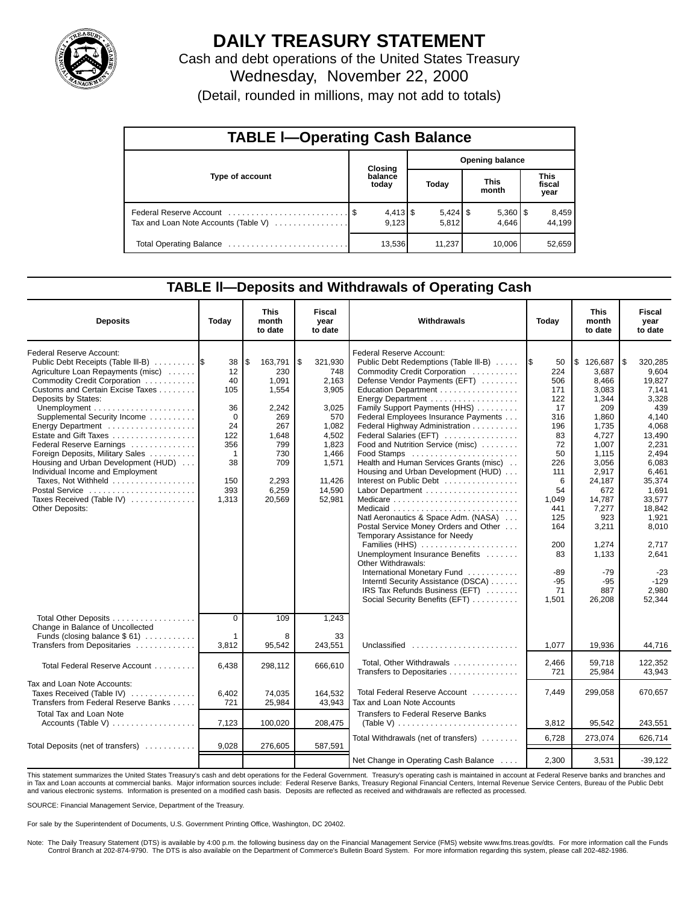

# **DAILY TREASURY STATEMENT**

Cash and debt operations of the United States Treasury Wednesday, November 22, 2000 (Detail, rounded in millions, may not add to totals)

| <b>TABLE I-Operating Cash Balance</b> |         |                  |                        |                     |                      |                       |                        |                 |  |  |
|---------------------------------------|---------|------------------|------------------------|---------------------|----------------------|-----------------------|------------------------|-----------------|--|--|
|                                       | Closing |                  | <b>Opening balance</b> |                     |                      |                       |                        |                 |  |  |
| Type of account                       |         | balance<br>today | Today                  |                     | <b>This</b><br>month |                       | This<br>fiscal<br>year |                 |  |  |
| Tax and Loan Note Accounts (Table V)  |         | 9.123            |                        | $5,424$ \$<br>5,812 |                      | $5,360$   \$<br>4.646 |                        | 8,459<br>44.199 |  |  |
| Total Operating Balance               |         | 13,536           |                        | 11,237              |                      | 10,006                |                        | 52,659          |  |  |

### **TABLE ll—Deposits and Withdrawals of Operating Cash**

| <b>Deposits</b>                                                                                                                                                                                                                                                                                                                                                                                                                                                                                                          | Today                                                                                                    | This<br>month<br>to date                                                                                                | <b>Fiscal</b><br>year<br>to date                                                                                                  | Withdrawals                                                                                                                                                                                                                                                                                                                                                                                                                                                                                                                                                                                                                                                                                                                                                                                                                                                                                         | Today                                                                                                                                                                          | This<br>month<br>to date                                                                                                                                                                                                         | Fiscal<br>year<br>to date                                                                                                                                                                                                                   |
|--------------------------------------------------------------------------------------------------------------------------------------------------------------------------------------------------------------------------------------------------------------------------------------------------------------------------------------------------------------------------------------------------------------------------------------------------------------------------------------------------------------------------|----------------------------------------------------------------------------------------------------------|-------------------------------------------------------------------------------------------------------------------------|-----------------------------------------------------------------------------------------------------------------------------------|-----------------------------------------------------------------------------------------------------------------------------------------------------------------------------------------------------------------------------------------------------------------------------------------------------------------------------------------------------------------------------------------------------------------------------------------------------------------------------------------------------------------------------------------------------------------------------------------------------------------------------------------------------------------------------------------------------------------------------------------------------------------------------------------------------------------------------------------------------------------------------------------------------|--------------------------------------------------------------------------------------------------------------------------------------------------------------------------------|----------------------------------------------------------------------------------------------------------------------------------------------------------------------------------------------------------------------------------|---------------------------------------------------------------------------------------------------------------------------------------------------------------------------------------------------------------------------------------------|
| Federal Reserve Account:<br>Public Debt Receipts (Table III-B)<br>Agriculture Loan Repayments (misc)<br>Commodity Credit Corporation<br>Customs and Certain Excise Taxes<br>Deposits by States:<br>Supplemental Security Income<br>Energy Department<br>Estate and Gift Taxes<br>Federal Reserve Earnings<br>Foreign Deposits, Military Sales<br>Housing and Urban Development (HUD)<br>Individual Income and Employment<br>Taxes, Not Withheld<br>Postal Service<br>Taxes Received (Table IV)<br><b>Other Deposits:</b> | 38<br>12<br>40<br>105<br>36<br>$\Omega$<br>24<br>122<br>356<br>$\mathbf{1}$<br>38<br>150<br>393<br>1,313 | \$<br>163,791<br>230<br>1,091<br>1,554<br>2.242<br>269<br>267<br>1,648<br>799<br>730<br>709<br>2,293<br>6,259<br>20.569 | \$<br>321,930<br>748<br>2,163<br>3,905<br>3.025<br>570<br>1,082<br>4,502<br>1,823<br>1.466<br>1,571<br>11.426<br>14,590<br>52.981 | Federal Reserve Account:<br>Public Debt Redemptions (Table III-B)<br>Commodity Credit Corporation<br>Defense Vendor Payments (EFT)<br>Education Department<br>Energy Department<br>Family Support Payments (HHS)<br>Federal Employees Insurance Payments<br>Federal Highway Administration<br>Federal Salaries (EFT)<br>Food and Nutrition Service (misc)<br>Food Stamps<br>Health and Human Services Grants (misc)<br>Housing and Urban Development (HUD)<br>Interest on Public Debt<br>Medicare $\ldots \ldots \ldots \ldots \ldots \ldots \ldots \ldots$<br>Natl Aeronautics & Space Adm. (NASA)<br>Postal Service Money Orders and Other<br>Temporary Assistance for Needy<br>Families (HHS)<br>Unemployment Insurance Benefits<br>Other Withdrawals:<br>International Monetary Fund<br>Interntl Security Assistance (DSCA)<br>IRS Tax Refunds Business (EFT)<br>Social Security Benefits (EFT) | 50<br>1\$<br>224<br>506<br>171<br>122<br>17<br>316<br>196<br>83<br>72<br>50<br>226<br>111<br>6<br>54<br>1.049<br>441<br>125<br>164<br>200<br>83<br>-89<br>$-95$<br>71<br>1,501 | \$<br>126,687<br>3.687<br>8,466<br>3.083<br>1,344<br>209<br>1,860<br>1,735<br>4,727<br>1.007<br>1.115<br>3.056<br>2,917<br>24,187<br>672<br>14.787<br>7,277<br>923<br>3,211<br>1,274<br>1,133<br>$-79$<br>$-95$<br>887<br>26,208 | 1\$<br>320,285<br>9,604<br>19,827<br>7,141<br>3,328<br>439<br>4,140<br>4,068<br>13,490<br>2,231<br>2.494<br>6.083<br>6.461<br>35,374<br>1.691<br>33.577<br>18,842<br>1,921<br>8,010<br>2,717<br>2,641<br>$-23$<br>$-129$<br>2,980<br>52.344 |
| Total Other Deposits<br>Change in Balance of Uncollected<br>Funds (closing balance $$61)$                                                                                                                                                                                                                                                                                                                                                                                                                                | $\overline{0}$<br>$\mathbf{1}$                                                                           | 109<br>8                                                                                                                | 1,243<br>33                                                                                                                       |                                                                                                                                                                                                                                                                                                                                                                                                                                                                                                                                                                                                                                                                                                                                                                                                                                                                                                     |                                                                                                                                                                                |                                                                                                                                                                                                                                  |                                                                                                                                                                                                                                             |
| Transfers from Depositaries<br>Total Federal Reserve Account                                                                                                                                                                                                                                                                                                                                                                                                                                                             | 3,812<br>6,438                                                                                           | 95,542<br>298,112                                                                                                       | 243,551<br>666,610                                                                                                                | Unclassified<br>Total, Other Withdrawals<br>Transfers to Depositaries                                                                                                                                                                                                                                                                                                                                                                                                                                                                                                                                                                                                                                                                                                                                                                                                                               | 1,077<br>2,466<br>721                                                                                                                                                          | 19,936<br>59.718<br>25.984                                                                                                                                                                                                       | 44,716<br>122.352<br>43.943                                                                                                                                                                                                                 |
| Tax and Loan Note Accounts:<br>Taxes Received (Table IV)<br>Transfers from Federal Reserve Banks                                                                                                                                                                                                                                                                                                                                                                                                                         | 6,402<br>721                                                                                             | 74,035<br>25,984                                                                                                        | 164,532<br>43,943                                                                                                                 | Total Federal Reserve Account<br>Tax and Loan Note Accounts                                                                                                                                                                                                                                                                                                                                                                                                                                                                                                                                                                                                                                                                                                                                                                                                                                         | 7,449                                                                                                                                                                          | 299,058                                                                                                                                                                                                                          | 670,657                                                                                                                                                                                                                                     |
| <b>Total Tax and Loan Note</b><br>Accounts (Table V) $\dots \dots \dots \dots \dots$                                                                                                                                                                                                                                                                                                                                                                                                                                     | 7,123                                                                                                    | 100,020                                                                                                                 | 208,475                                                                                                                           | <b>Transfers to Federal Reserve Banks</b><br>(Table V) $\ldots \ldots \ldots \ldots \ldots \ldots \ldots \ldots$                                                                                                                                                                                                                                                                                                                                                                                                                                                                                                                                                                                                                                                                                                                                                                                    | 3,812                                                                                                                                                                          | 95,542                                                                                                                                                                                                                           | 243.551                                                                                                                                                                                                                                     |
| Total Deposits (net of transfers)                                                                                                                                                                                                                                                                                                                                                                                                                                                                                        | 9,028                                                                                                    | 276,605                                                                                                                 | 587,591                                                                                                                           | Total Withdrawals (net of transfers)                                                                                                                                                                                                                                                                                                                                                                                                                                                                                                                                                                                                                                                                                                                                                                                                                                                                | 6,728                                                                                                                                                                          | 273,074                                                                                                                                                                                                                          | 626.714                                                                                                                                                                                                                                     |
|                                                                                                                                                                                                                                                                                                                                                                                                                                                                                                                          |                                                                                                          |                                                                                                                         |                                                                                                                                   | Net Change in Operating Cash Balance                                                                                                                                                                                                                                                                                                                                                                                                                                                                                                                                                                                                                                                                                                                                                                                                                                                                | 2,300                                                                                                                                                                          | 3,531                                                                                                                                                                                                                            | $-39.122$                                                                                                                                                                                                                                   |

This statement summarizes the United States Treasury's cash and debt operations for the Federal Government. Treasury's operating cash is maintained in account at Federal Reserve banks and branches and in Tax and Loan accounts at commercial banks. Major information sources include: Federal Reserve Banks, Treasury Regional Financial Centers, Internal Revenue Service Centers, Bureau of the Public Debt in Tax and Loan accou and various electronic systems. Information is presented on a modified cash basis. Deposits are reflected as received and withdrawals are reflected as processed.

SOURCE: Financial Management Service, Department of the Treasury.

For sale by the Superintendent of Documents, U.S. Government Printing Office, Washington, DC 20402.

Note: The Daily Treasury Statement (DTS) is available by 4:00 p.m. the following business day on the Financial Management Service (FMS) website www.fms.treas.gov/dts. For more information call the Funds Control Branch at 202-874-9790. The DTS is also available on the Department of Commerce's Bulletin Board System. For more information regarding this system, please call 202-482-1986.